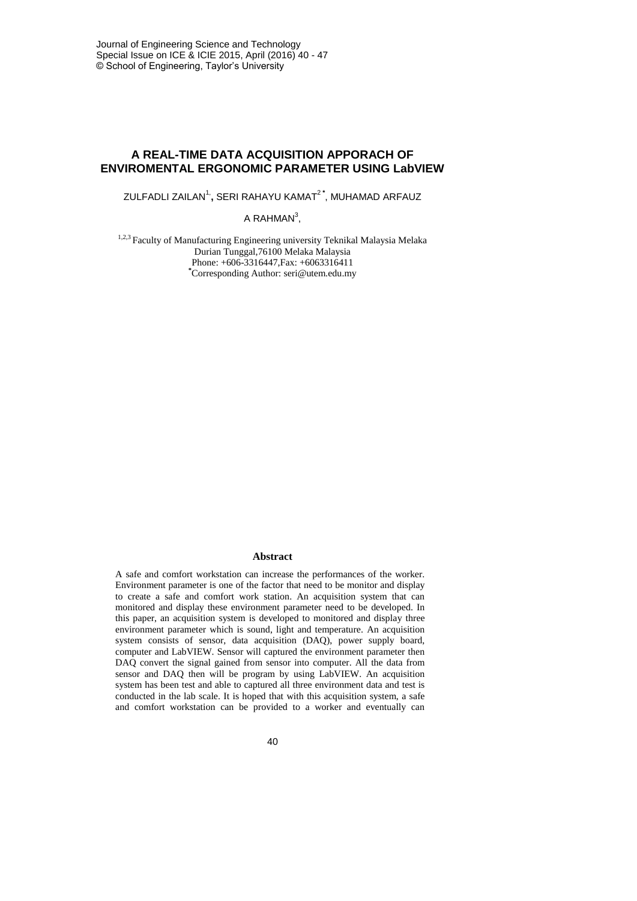## **A REAL-TIME DATA ACQUISITION APPORACH OF ENVIROMENTAL ERGONOMIC PARAMETER USING LabVIEW**

ZULFADLI ZAILAN<sup>1,</sup>, SERI RAHAYU KAMAT<sup>2\*</sup>, MUHAMAD ARFAUZ

A RAHMAN $3$ ,

<sup>1,2,3</sup> Faculty of Manufacturing Engineering university Teknikal Malaysia Melaka Durian Tunggal,76100 Melaka Malaysia Phone: +606-3316447, Fax: +6063316411 **\***Corresponding Author: [seri@utem.edu.my](mailto:hidayahsout@gmail.com)

#### **Abstract**

A safe and comfort workstation can increase the performances of the worker. Environment parameter is one of the factor that need to be monitor and display to create a safe and comfort work station. An acquisition system that can monitored and display these environment parameter need to be developed. In this paper, an acquisition system is developed to monitored and display three environment parameter which is sound, light and temperature. An acquisition system consists of sensor, data acquisition (DAQ), power supply board, computer and LabVIEW. Sensor will captured the environment parameter then DAQ convert the signal gained from sensor into computer. All the data from sensor and DAQ then will be program by using LabVIEW. An acquisition system has been test and able to captured all three environment data and test is conducted in the lab scale. It is hoped that with this acquisition system, a safe and comfort workstation can be provided to a worker and eventually can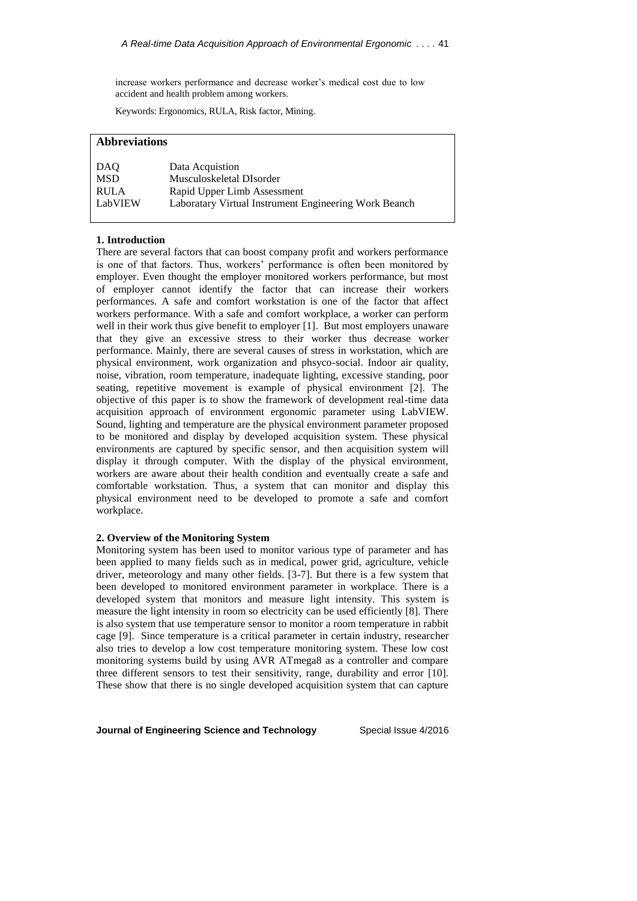increase workers performance and decrease worker's medical cost due to low accident and health problem among workers.

Keywords: Ergonomics, RULA, Risk factor, Mining.

# **Abbreviations**

| DAO         | Data Acquistion                                       |
|-------------|-------------------------------------------------------|
| <b>MSD</b>  | Musculoskeletal DIsorder                              |
| <b>RULA</b> | Rapid Upper Limb Assessment                           |
| LabVIEW     | Laboratary Virtual Instrument Engineering Work Beanch |

#### **1. Introduction**

There are several factors that can boost company profit and workers performance is one of that factors. Thus, workers' performance is often been monitored by employer. Even thought the employer monitored workers performance, but most of employer cannot identify the factor that can increase their workers performances. A safe and comfort workstation is one of the factor that affect workers performance. With a safe and comfort workplace, a worker can perform well in their work thus give benefit to employer [1]. But most employers unaware that they give an excessive stress to their worker thus decrease worker performance. Mainly, there are several causes of stress in workstation, which are physical environment, work organization and phsyco-social. Indoor air quality, noise, vibration, room temperature, inadequate lighting, excessive standing, poor seating, repetitive movement is example of physical environment [2]. The objective of this paper is to show the framework of development real-time data acquisition approach of environment ergonomic parameter using LabVIEW. Sound, lighting and temperature are the physical environment parameter proposed to be monitored and display by developed acquisition system. These physical environments are captured by specific sensor, and then acquisition system will display it through computer. With the display of the physical environment, workers are aware about their health condition and eventually create a safe and comfortable workstation. Thus, a system that can monitor and display this physical environment need to be developed to promote a safe and comfort workplace.

### **2. Overview of the Monitoring System**

Monitoring system has been used to monitor various type of parameter and has been applied to many fields such as in medical, power grid, agriculture, vehicle driver, meteorology and many other fields. [3-7]. But there is a few system that been developed to monitored environment parameter in workplace. There is a developed system that monitors and measure light intensity. This system is measure the light intensity in room so electricity can be used efficiently [8]. There is also system that use temperature sensor to monitor a room temperature in rabbit cage [9]. Since temperature is a critical parameter in certain industry, researcher also tries to develop a low cost temperature monitoring system. These low cost monitoring systems build by using AVR ATmega8 as a controller and compare three different sensors to test their sensitivity, range, durability and error [10]. These show that there is no single developed acquisition system that can capture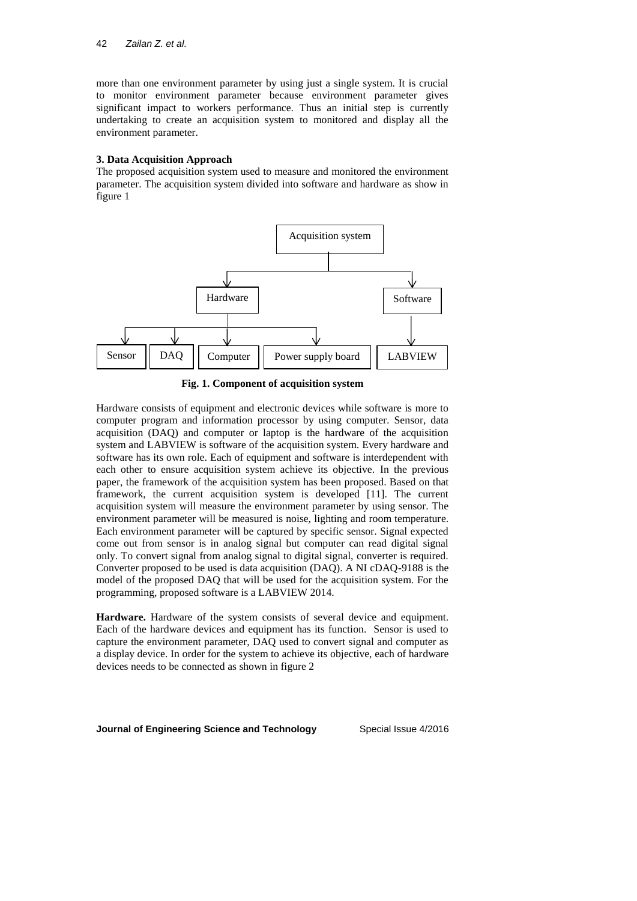more than one environment parameter by using just a single system. It is crucial to monitor environment parameter because environment parameter gives significant impact to workers performance. Thus an initial step is currently undertaking to create an acquisition system to monitored and display all the environment parameter.

#### **3. Data Acquisition Approach**

The proposed acquisition system used to measure and monitored the environment parameter. The acquisition system divided into software and hardware as show in figure 1



**Fig. 1. Component of acquisition system**

Hardware consists of equipment and electronic devices while software is more to computer program and information processor by using computer. Sensor, data acquisition (DAQ) and computer or laptop is the hardware of the acquisition system and LABVIEW is software of the acquisition system. Every hardware and software has its own role. Each of equipment and software is interdependent with each other to ensure acquisition system achieve its objective. In the previous paper, the framework of the acquisition system has been proposed. Based on that framework, the current acquisition system is developed [11]. The current acquisition system will measure the environment parameter by using sensor. The environment parameter will be measured is noise, lighting and room temperature. Each environment parameter will be captured by specific sensor. Signal expected come out from sensor is in analog signal but computer can read digital signal only. To convert signal from analog signal to digital signal, converter is required. Converter proposed to be used is data acquisition (DAQ). A NI cDAQ-9188 is the model of the proposed DAQ that will be used for the acquisition system. For the programming, proposed software is a LABVIEW 2014.

**Hardware.** Hardware of the system consists of several device and equipment. Each of the hardware devices and equipment has its function. Sensor is used to capture the environment parameter, DAQ used to convert signal and computer as a display device. In order for the system to achieve its objective, each of hardware devices needs to be connected as shown in figure 2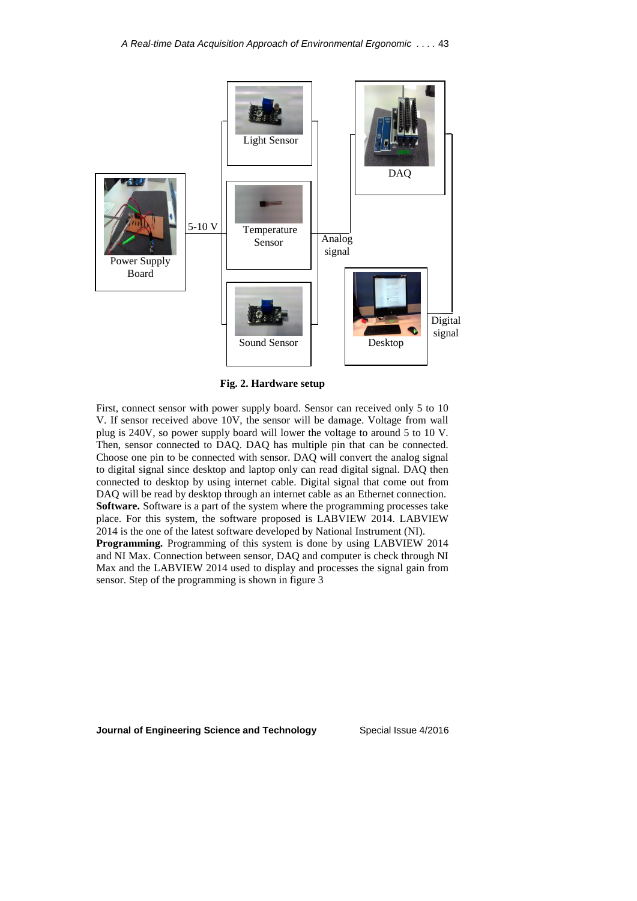

**Fig. 2. Hardware setup**

First, connect sensor with power supply board. Sensor can received only 5 to 10 V. If sensor received above 10V, the sensor will be damage. Voltage from wall plug is 240V, so power supply board will lower the voltage to around 5 to 10 V. Then, sensor connected to DAQ. DAQ has multiple pin that can be connected. Choose one pin to be connected with sensor. DAQ will convert the analog signal to digital signal since desktop and laptop only can read digital signal. DAQ then connected to desktop by using internet cable. Digital signal that come out from DAQ will be read by desktop through an internet cable as an Ethernet connection. **Software.** Software is a part of the system where the programming processes take place. For this system, the software proposed is LABVIEW 2014. LABVIEW 2014 is the one of the latest software developed by National Instrument (NI).

**Programming.** Programming of this system is done by using LABVIEW 2014 and NI Max. Connection between sensor, DAQ and computer is check through NI Max and the LABVIEW 2014 used to display and processes the signal gain from sensor. Step of the programming is shown in figure 3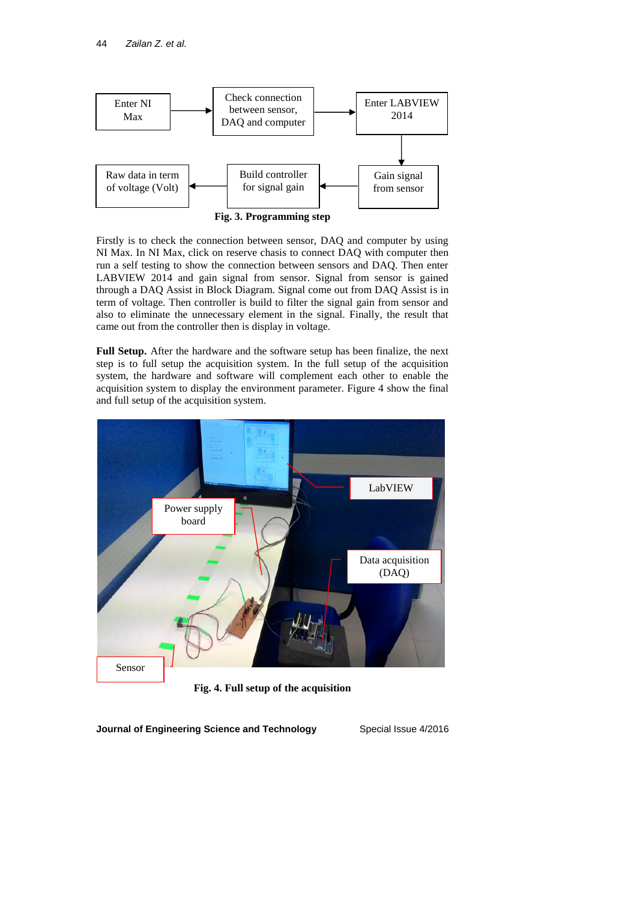

Firstly is to check the connection between sensor, DAQ and computer by using NI Max. In NI Max, click on reserve chasis to connect DAQ with computer then run a self testing to show the connection between sensors and DAQ. Then enter LABVIEW 2014 and gain signal from sensor. Signal from sensor is gained through a DAQ Assist in Block Diagram. Signal come out from DAQ Assist is in term of voltage. Then controller is build to filter the signal gain from sensor and also to eliminate the unnecessary element in the signal. Finally, the result that came out from the controller then is display in voltage.

**Full Setup.** After the hardware and the software setup has been finalize, the next step is to full setup the acquisition system. In the full setup of the acquisition system, the hardware and software will complement each other to enable the acquisition system to display the environment parameter. Figure 4 show the final and full setup of the acquisition system.



**Fig. 4. Full setup of the acquisition**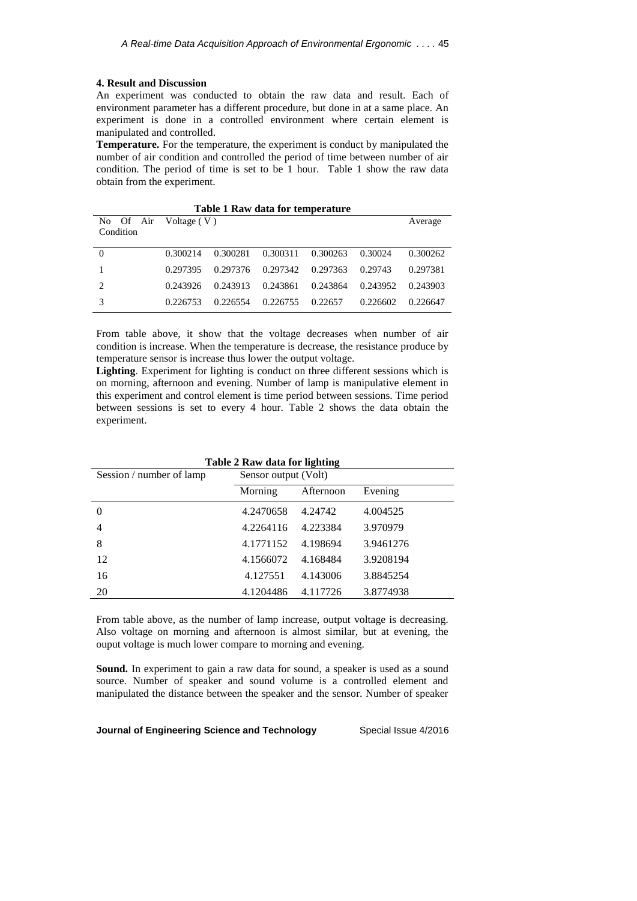#### **4. Result and Discussion**

An experiment was conducted to obtain the raw data and result. Each of environment parameter has a different procedure, but done in at a same place. An experiment is done in a controlled environment where certain element is manipulated and controlled.

**Temperature.** For the temperature, the experiment is conduct by manipulated the number of air condition and controlled the period of time between number of air condition. The period of time is set to be 1 hour. Table 1 show the raw data obtain from the experiment.

| Table 1 Raw data for temperature |          |          |          |          |          |          |  |  |  |
|----------------------------------|----------|----------|----------|----------|----------|----------|--|--|--|
| No Of Air Voltage $(V)$          |          |          |          |          |          | Average  |  |  |  |
| Condition                        |          |          |          |          |          |          |  |  |  |
|                                  |          |          |          |          |          |          |  |  |  |
| $\Omega$                         | 0.300214 | 0.300281 | 0.300311 | 0.300263 | 0.30024  | 0.300262 |  |  |  |
|                                  | 0.297395 | 0.297376 | 0.297342 | 0.297363 | 0.29743  | 0.297381 |  |  |  |
| 2                                | 0.243926 | 0.243913 | 0.243861 | 0.243864 | 0.243952 | 0.243903 |  |  |  |
|                                  | 0.226753 | 0.226554 | 0.226755 | 0.22657  | 0.226602 | 0.226647 |  |  |  |

From table above, it show that the voltage decreases when number of air condition is increase. When the temperature is decrease, the resistance produce by temperature sensor is increase thus lower the output voltage.

**Lighting**. Experiment for lighting is conduct on three different sessions which is on morning, afternoon and evening. Number of lamp is manipulative element in this experiment and control element is time period between sessions. Time period between sessions is set to every 4 hour. Table 2 shows the data obtain the experiment.

| Table 2 Raw data for lighting |                      |           |           |  |  |  |  |
|-------------------------------|----------------------|-----------|-----------|--|--|--|--|
| Session / number of lamp      | Sensor output (Volt) |           |           |  |  |  |  |
|                               | Morning              | Afternoon | Evening   |  |  |  |  |
| $\theta$                      | 4.2470658            | 4.24742   | 4.004525  |  |  |  |  |
| 4                             | 4.2264116            | 4.223384  | 3.970979  |  |  |  |  |
| 8                             | 4.1771152            | 4.198694  | 3.9461276 |  |  |  |  |
| 12                            | 4.1566072            | 4.168484  | 3.9208194 |  |  |  |  |
| 16                            | 4.127551             | 4.143006  | 3.8845254 |  |  |  |  |
| 20                            | 4.1204486            | 4.117726  | 3.8774938 |  |  |  |  |

From table above, as the number of lamp increase, output voltage is decreasing. Also voltage on morning and afternoon is almost similar, but at evening, the ouput voltage is much lower compare to morning and evening.

**Sound.** In experiment to gain a raw data for sound, a speaker is used as a sound source. Number of speaker and sound volume is a controlled element and manipulated the distance between the speaker and the sensor. Number of speaker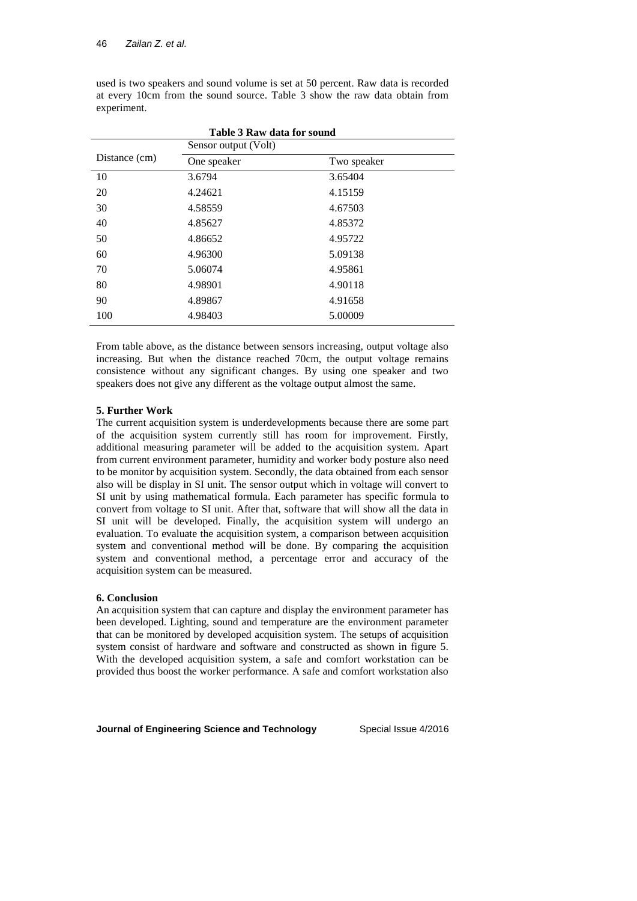|               | <b>Table 3 Raw data for sound</b><br>Sensor output (Volt) |             |  |
|---------------|-----------------------------------------------------------|-------------|--|
| Distance (cm) | One speaker                                               | Two speaker |  |
| 10            | 3.6794                                                    | 3.65404     |  |
| 20            | 4.24621                                                   | 4.15159     |  |
| 30            | 4.58559                                                   | 4.67503     |  |
| 40            | 4.85627                                                   | 4.85372     |  |
| 50            | 4.86652                                                   | 4.95722     |  |
| 60            | 4.96300                                                   | 5.09138     |  |
| 70            | 5.06074                                                   | 4.95861     |  |
| 80            | 4.98901                                                   | 4.90118     |  |
| 90            | 4.89867                                                   | 4.91658     |  |
| 100           | 4.98403                                                   | 5.00009     |  |

used is two speakers and sound volume is set at 50 percent. Raw data is recorded at every 10cm from the sound source. Table 3 show the raw data obtain from experiment.

From table above, as the distance between sensors increasing, output voltage also increasing. But when the distance reached 70cm, the output voltage remains consistence without any significant changes. By using one speaker and two speakers does not give any different as the voltage output almost the same.

#### **5. Further Work**

The current acquisition system is underdevelopments because there are some part of the acquisition system currently still has room for improvement. Firstly, additional measuring parameter will be added to the acquisition system. Apart from current environment parameter, humidity and worker body posture also need to be monitor by acquisition system. Secondly, the data obtained from each sensor also will be display in SI unit. The sensor output which in voltage will convert to SI unit by using mathematical formula. Each parameter has specific formula to convert from voltage to SI unit. After that, software that will show all the data in SI unit will be developed. Finally, the acquisition system will undergo an evaluation. To evaluate the acquisition system, a comparison between acquisition system and conventional method will be done. By comparing the acquisition system and conventional method, a percentage error and accuracy of the acquisition system can be measured.

#### **6. Conclusion**

An acquisition system that can capture and display the environment parameter has been developed. Lighting, sound and temperature are the environment parameter that can be monitored by developed acquisition system. The setups of acquisition system consist of hardware and software and constructed as shown in figure 5. With the developed acquisition system, a safe and comfort workstation can be provided thus boost the worker performance. A safe and comfort workstation also